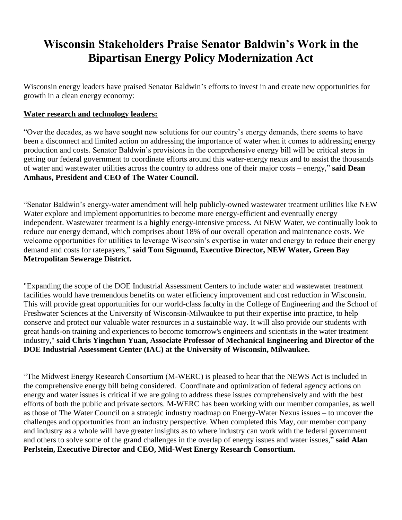# **Wisconsin Stakeholders Praise Senator Baldwin's Work in the Bipartisan Energy Policy Modernization Act**

Wisconsin energy leaders have praised Senator Baldwin's efforts to invest in and create new opportunities for growth in a clean energy economy:

## **Water research and technology leaders:**

"Over the decades, as we have sought new solutions for our country's energy demands, there seems to have been a disconnect and limited action on addressing the importance of water when it comes to addressing energy production and costs. Senator Baldwin's provisions in the comprehensive energy bill will be critical steps in getting our federal government to coordinate efforts around this water-energy nexus and to assist the thousands of water and wastewater utilities across the country to address one of their major costs – energy," **said Dean Amhaus, President and CEO of The Water Council.**

"Senator Baldwin's energy-water amendment will help publicly-owned wastewater treatment utilities like NEW Water explore and implement opportunities to become more energy-efficient and eventually energy independent. Wastewater treatment is a highly energy-intensive process. At NEW Water, we continually look to reduce our energy demand, which comprises about 18% of our overall operation and maintenance costs. We welcome opportunities for utilities to leverage Wisconsin's expertise in water and energy to reduce their energy demand and costs for ratepayers," **said Tom Sigmund, Executive Director, NEW Water, Green Bay Metropolitan Sewerage District.**

"Expanding the scope of the DOE Industrial Assessment Centers to include water and wastewater treatment facilities would have tremendous benefits on water efficiency improvement and cost reduction in Wisconsin. This will provide great opportunities for our world-class faculty in the College of Engineering and the School of Freshwater Sciences at the University of Wisconsin-Milwaukee to put their expertise into practice, to help conserve and protect our valuable water resources in a sustainable way. It will also provide our students with great hands-on training and experiences to become tomorrow's engineers and scientists in the water treatment industry," **said Chris Yingchun Yuan, Associate Professor of Mechanical Engineering and Director of the DOE Industrial Assessment Center (IAC) at the University of Wisconsin, Milwaukee.**

"The Midwest Energy Research Consortium (M-WERC) is pleased to hear that the NEWS Act is included in the comprehensive energy bill being considered. Coordinate and optimization of federal agency actions on energy and water issues is critical if we are going to address these issues comprehensively and with the best efforts of both the public and private sectors. M-WERC has been working with our member companies, as well as those of The Water Council on a strategic industry roadmap on Energy-Water Nexus issues – to uncover the challenges and opportunities from an industry perspective. When completed this May, our member company and industry as a whole will have greater insights as to where industry can work with the federal government and others to solve some of the grand challenges in the overlap of energy issues and water issues," **said Alan Perlstein, Executive Director and CEO, Mid-West Energy Research Consortium.**